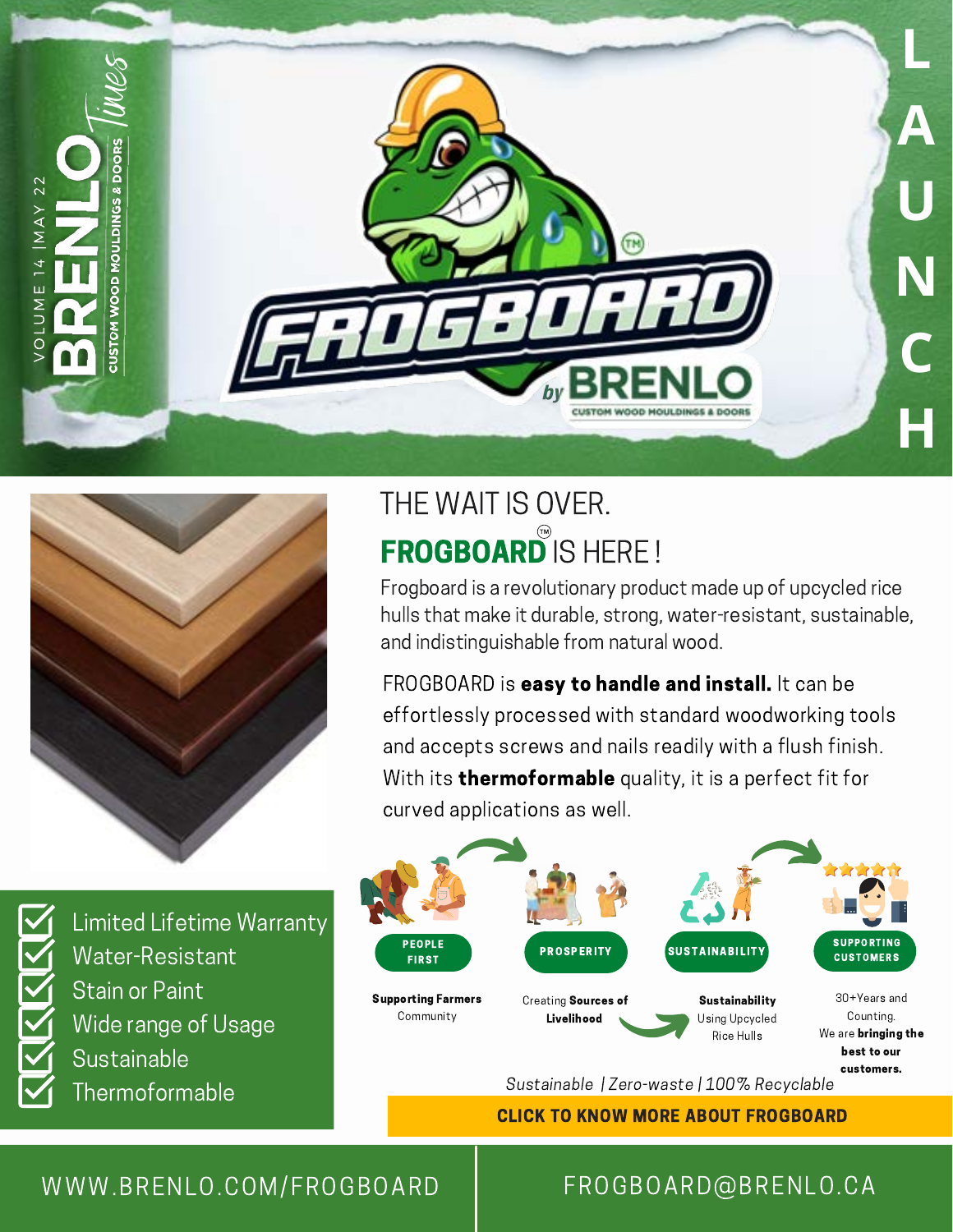



## THE WAIT IS OVER. FROGBOARD<sup>®</sup> IS HERE !

Frogboard is a revolutionary product made up of upcycled rice hulls that make it durable, strong, water-resistant, sustainable, and indistinguishable from natural wood.

FROGBOARD is easy to handle and install. It can be effortlessly processed with standard woodworking tools and accepts screws and nails readily with a flush finish. With its **thermoformable** quality, it is a perfect fit for curved applications as well.



CLICK TO KNOW MORE ABOUT FROGBOARD

### Limited Lifetime Warranty Water-Resistant Stain or Paint Wide range of Usage **Sustainable Thermoformable**

#### W W W .BRENLO.COM/FROGBOARD | FROGBOARD@BRENLO.CA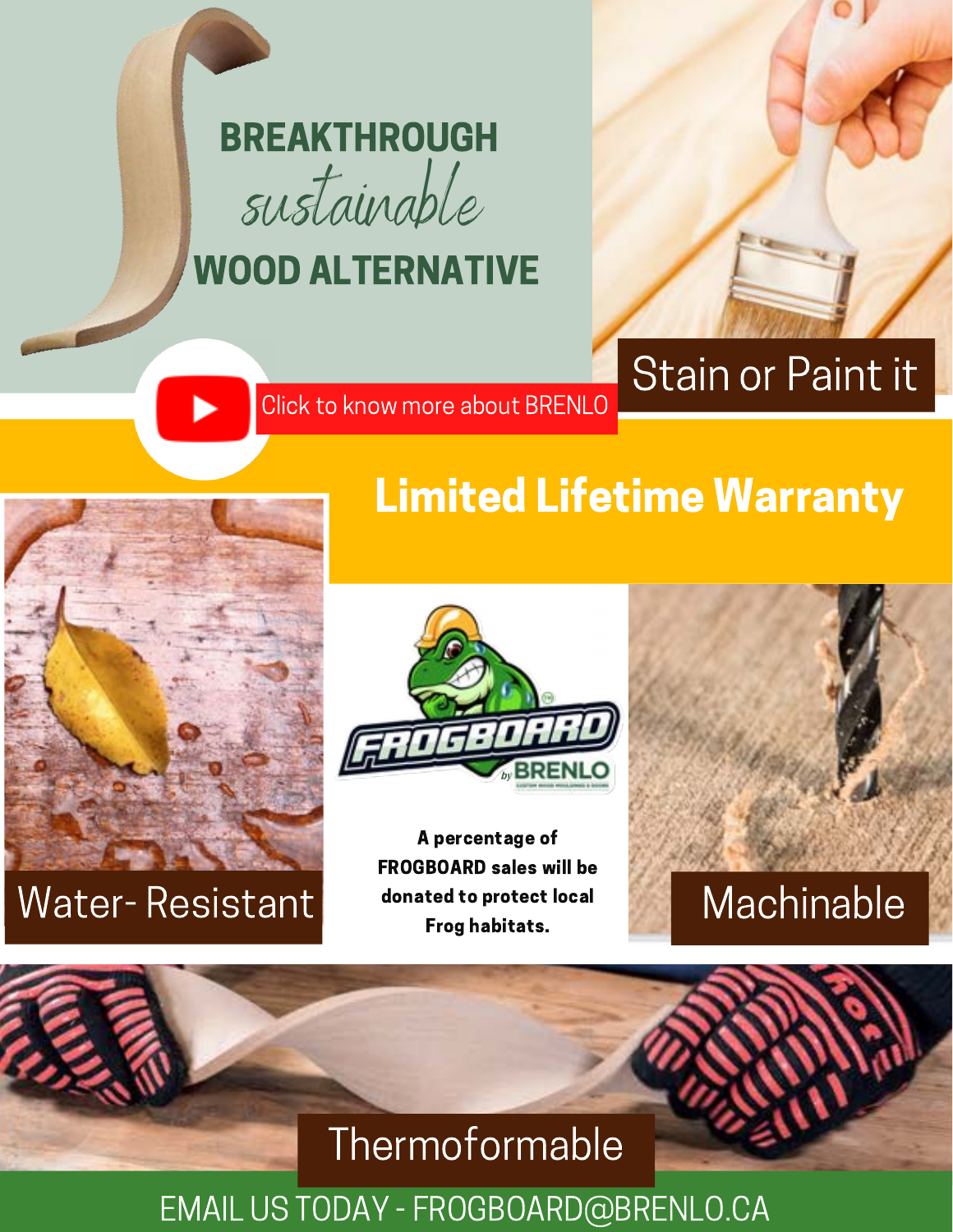

## WOOD ALTERNATIVE



# Stain or Paint it

Limited Lifetime Warranty

Click to know more about BRENLO



## Water-Resistant donated to protect local Machinable



A percentage of FROGBOARD sales will be donated to protect local Frog habitats.



## **Thermoformable**

EMAIL US TODAY - FROGBOARD@BRENLO.CA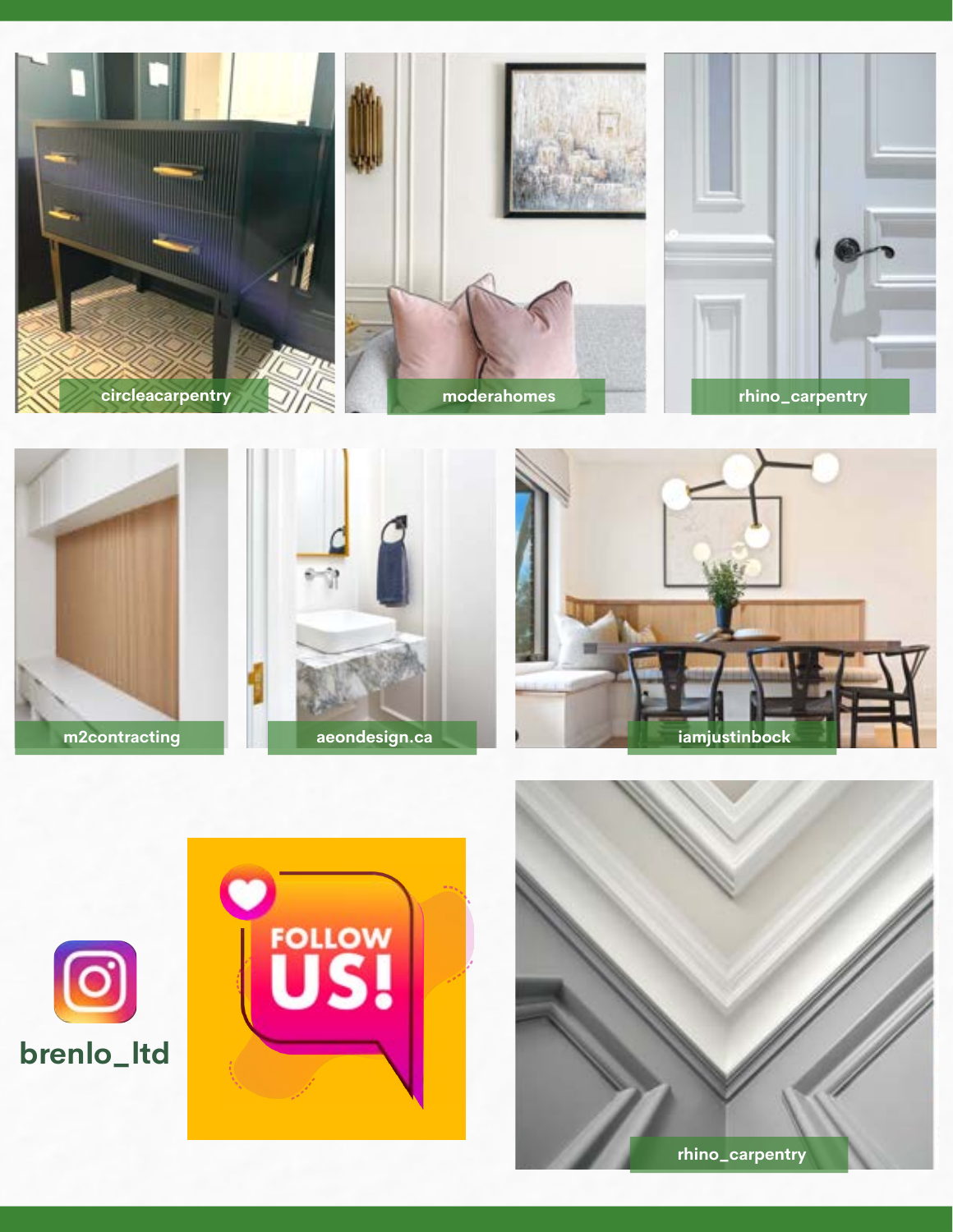

m2contracting



**FOLLOW** 



iamjustinbock

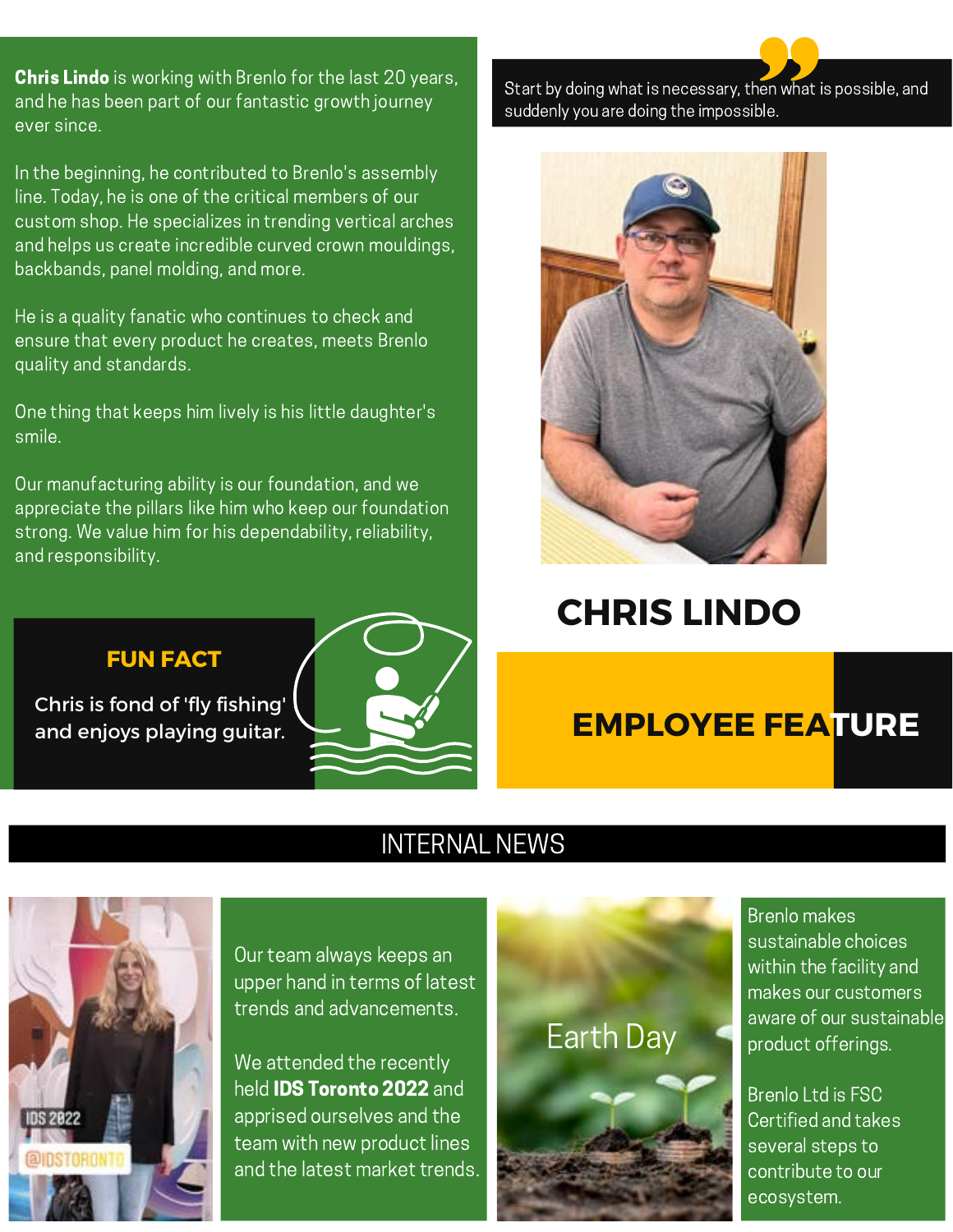**Chris Lindo** is working with Brenlo for the last 20 years, and he has been part of our fantastic growth journey ever since.

In the beginning, he contributed to Brenlo's assembly line. Today, he is one of the critical members of our custom shop. He specializes in trending vertical arches and helps us create incredible curved crown mouldings, backbands, panel molding, and more.

He is a quality fanatic who continues to check and ensure that every product he creates, meets Brenlo quality and standards.

One thing that keeps him lively is his little daughter's smile.

Our manufacturing ability is our foundation, and we appreciate the pillars like him who keep our foundation strong. We value him for his dependability, reliability, and responsibility.

#### **FUN FACT**

Chris is fond of 'fly fishing' and enjoys playing guitar.



Start by doing what is necessary, then what is possible, and suddenly you are doing the impossible.



### **CHRIS LINDO**

### **EMPLOYEE FEATURE**

#### INTERNAL NEWS



Our team always keeps an upper hand in terms of latest trends and advancements.

We attended the recently held **IDS Toronto 2022** and apprised ourselves and the team with new product lines and the latest market trends.



Brenlo makes sustainable choices within the facility and makes our customers aware of our sustainable product offerings.

Brenlo Ltd is FSC Certified and takes several steps to contribute to our ecosystem.